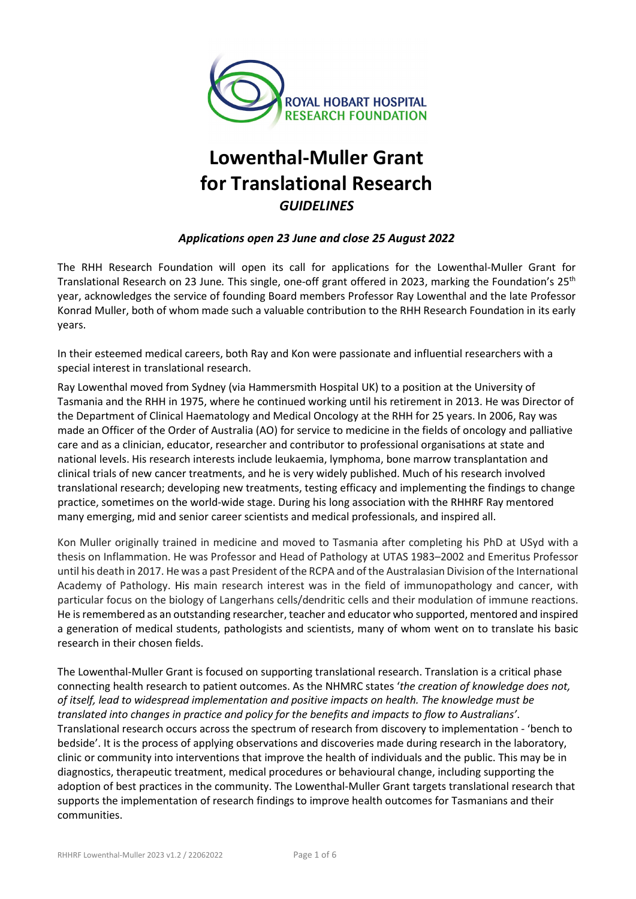

# **Lowenthal-Muller Grant for Translational Research** *GUIDELINES*

## *Applications open 23 June and close 25 August 2022*

The RHH Research Foundation will open its call for applications for the Lowenthal-Muller Grant for Translational Research on 23 June*.* This single, one-off grant offered in 2023, marking the Foundation's 25th year, acknowledges the service of founding Board members Professor Ray Lowenthal and the late Professor Konrad Muller, both of whom made such a valuable contribution to the RHH Research Foundation in its early years.

In their esteemed medical careers, both Ray and Kon were passionate and influential researchers with a special interest in translational research.

Ray Lowenthal moved from Sydney (via Hammersmith Hospital UK) to a position at the University of Tasmania and the RHH in 1975, where he continued working until his retirement in 2013. He was Director of the Department of Clinical Haematology and Medical Oncology at the RHH for 25 years. In 2006, Ray was made an Officer of the Order of Australia (AO) for service to medicine in the fields of oncology and palliative care and as a clinician, educator, researcher and contributor to professional organisations at state and national levels. His research interests include leukaemia, lymphoma, bone marrow transplantation and clinical trials of new cancer treatments, and he is very widely published. Much of his research involved translational research; developing new treatments, testing efficacy and implementing the findings to change practice, sometimes on the world-wide stage. During his long association with the RHHRF Ray mentored many emerging, mid and senior career scientists and medical professionals, and inspired all.

Kon Muller originally trained in medicine and moved to Tasmania after completing his PhD at USyd with a thesis on Inflammation. He was Professor and Head of Pathology at UTAS 1983–2002 and Emeritus Professor until his death in 2017. He was a past President of the RCPA and of the Australasian Division of the International Academy of Pathology. His main research interest was in the field of immunopathology and cancer, with particular focus on the biology of Langerhans cells/dendritic cells and their modulation of immune reactions. He is remembered as an outstanding researcher, teacher and educator who supported, mentored and inspired a generation of medical students, pathologists and scientists, many of whom went on to translate his basic research in their chosen fields.

The Lowenthal-Muller Grant is focused on supporting translational research. Translation is a critical phase connecting health research to patient outcomes. As the NHMRC states '*the creation of knowledge does not, of itself, lead to widespread implementation and positive impacts on health. The knowledge must be translated into changes in practice and policy for the benefits and impacts to flow to Australians'*. Translational research occurs across the spectrum of research from discovery to implementation - 'bench to bedside'. It is the process of applying observations and discoveries made during research in the laboratory, clinic or community into interventions that improve the health of individuals and the public. This may be in diagnostics, therapeutic treatment, medical procedures or behavioural change, including supporting the adoption of best practices in the community. The Lowenthal-Muller Grant targets translational research that supports the implementation of research findings to improve health outcomes for Tasmanians and their communities.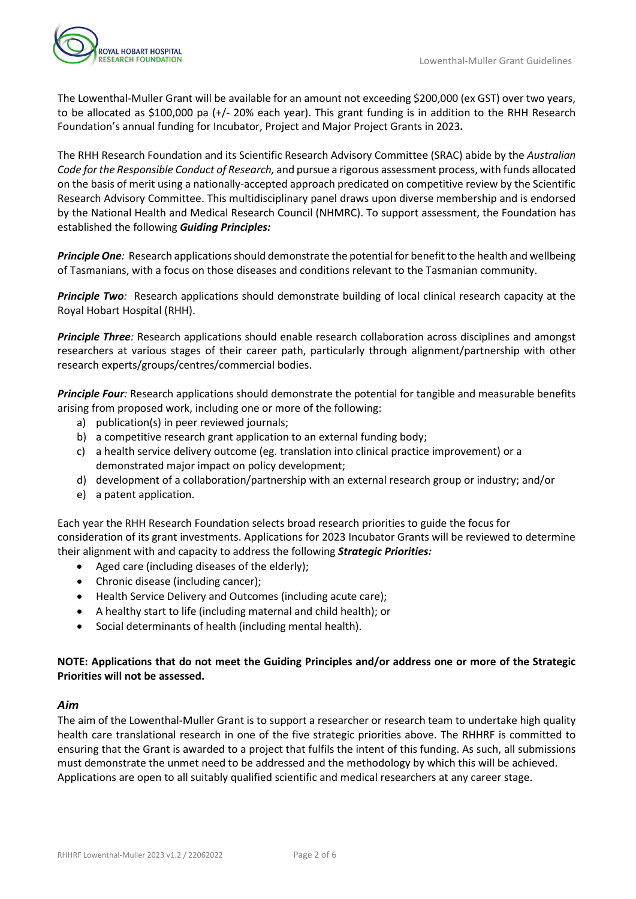

The Lowenthal-Muller Grant will be available for an amount not exceeding \$200,000 (ex GST) over two years, to be allocated as \$100,000 pa (+/- 20% each year). This grant funding is in addition to the RHH Research Foundation's annual funding for Incubator, Project and Major Project Grants in 2023**.**

The RHH Research Foundation and its Scientific Research Advisory Committee (SRAC) abide by the *Australian Code for the Responsible Conduct of Research,* and pursue a rigorous assessment process, with funds allocated on the basis of merit using a nationally-accepted approach predicated on competitive review by the Scientific Research Advisory Committee. This multidisciplinary panel draws upon diverse membership and is endorsed by the National Health and Medical Research Council (NHMRC). To support assessment, the Foundation has established the following *Guiding Principles:*

*Principle One:* Research applications should demonstrate the potential for benefit to the health and wellbeing of Tasmanians, with a focus on those diseases and conditions relevant to the Tasmanian community.

**Principle Two**: Research applications should demonstrate building of local clinical research capacity at the Royal Hobart Hospital (RHH).

*Principle Three:* Research applications should enable research collaboration across disciplines and amongst researchers at various stages of their career path, particularly through alignment/partnership with other research experts/groups/centres/commercial bodies.

*Principle Four:* Research applications should demonstrate the potential for tangible and measurable benefits arising from proposed work, including one or more of the following:

- a) publication(s) in peer reviewed journals;
- b) a competitive research grant application to an external funding body;
- c) a health service delivery outcome (eg. translation into clinical practice improvement) or a demonstrated major impact on policy development;
- d) development of a collaboration/partnership with an external research group or industry; and/or
- e) a patent application.

Each year the RHH Research Foundation selects broad research priorities to guide the focus for consideration of its grant investments. Applications for 2023 Incubator Grants will be reviewed to determine their alignment with and capacity to address the following *Strategic Priorities:*

- Aged care (including diseases of the elderly);
- Chronic disease (including cancer);
- Health Service Delivery and Outcomes (including acute care);
- A healthy start to life (including maternal and child health); or
- Social determinants of health (including mental health).

#### **NOTE: Applications that do not meet the Guiding Principles and/or address one or more of the Strategic Priorities will not be assessed.**

#### *Aim*

The aim of the Lowenthal-Muller Grant is to support a researcher or research team to undertake high quality health care translational research in one of the five strategic priorities above. The RHHRF is committed to ensuring that the Grant is awarded to a project that fulfils the intent of this funding. As such, all submissions must demonstrate the unmet need to be addressed and the methodology by which this will be achieved. Applications are open to all suitably qualified scientific and medical researchers at any career stage.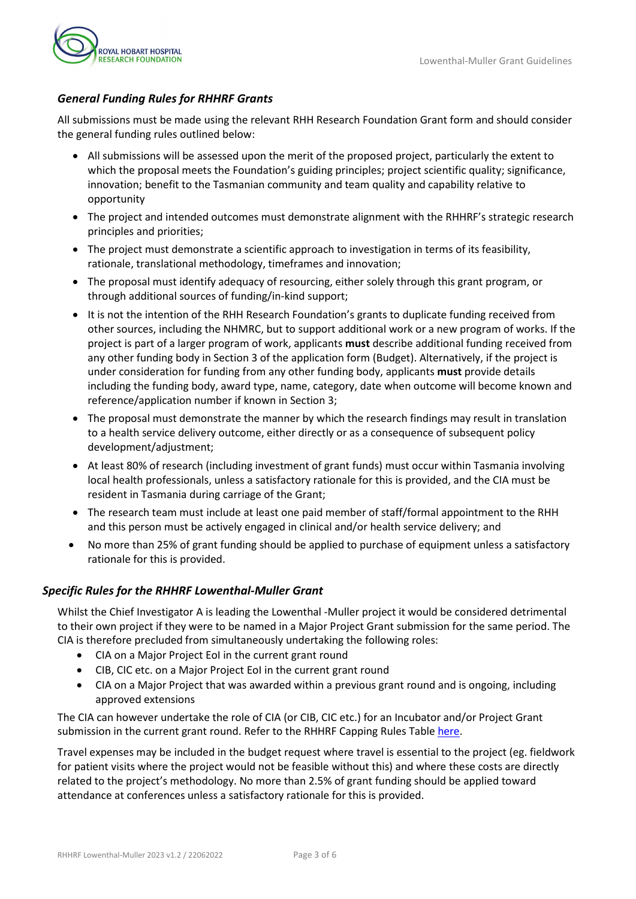

## *General Funding Rules for RHHRF Grants*

All submissions must be made using the relevant RHH Research Foundation Grant form and should consider the general funding rules outlined below:

- All submissions will be assessed upon the merit of the proposed project, particularly the extent to which the proposal meets the Foundation's guiding principles; project scientific quality; significance, innovation; benefit to the Tasmanian community and team quality and capability relative to opportunity
- The project and intended outcomes must demonstrate alignment with the RHHRF's strategic research principles and priorities;
- The project must demonstrate a scientific approach to investigation in terms of its feasibility, rationale, translational methodology, timeframes and innovation;
- The proposal must identify adequacy of resourcing, either solely through this grant program, or through additional sources of funding/in-kind support;
- It is not the intention of the RHH Research Foundation's grants to duplicate funding received from other sources, including the NHMRC, but to support additional work or a new program of works. If the project is part of a larger program of work, applicants **must** describe additional funding received from any other funding body in Section 3 of the application form (Budget). Alternatively, if the project is under consideration for funding from any other funding body, applicants **must** provide details including the funding body, award type, name, category, date when outcome will become known and reference/application number if known in Section 3;
- The proposal must demonstrate the manner by which the research findings may result in translation to a health service delivery outcome, either directly or as a consequence of subsequent policy development/adjustment;
- At least 80% of research (including investment of grant funds) must occur within Tasmania involving local health professionals, unless a satisfactory rationale for this is provided, and the CIA must be resident in Tasmania during carriage of the Grant;
- The research team must include at least one paid member of staff/formal appointment to the RHH and this person must be actively engaged in clinical and/or health service delivery; and
- No more than 25% of grant funding should be applied to purchase of equipment unless a satisfactory rationale for this is provided.

## *Specific Rules for the RHHRF Lowenthal-Muller Grant*

Whilst the Chief Investigator A is leading the Lowenthal -Muller project it would be considered detrimental to their own project if they were to be named in a Major Project Grant submission for the same period. The CIA is therefore precluded from simultaneously undertaking the following roles:

- CIA on a Major Project EoI in the current grant round
- CIB, CIC etc. on a Major Project EoI in the current grant round
- CIA on a Major Project that was awarded within a previous grant round and is ongoing, including approved extensions

The CIA can however undertake the role of CIA (or CIB, CIC etc.) for an Incubator and/or Project Grant submission in the current grant round. Refer to the RHHRF Capping Rules Tabl[e here.](https://www.rhhresearchfoundation.org/sites/default/files/wysiwyg_images/rhhrf_capping_table_2023_grant_round.pdf)

Travel expenses may be included in the budget request where travel is essential to the project (eg. fieldwork for patient visits where the project would not be feasible without this) and where these costs are directly related to the project's methodology. No more than 2.5% of grant funding should be applied toward attendance at conferences unless a satisfactory rationale for this is provided.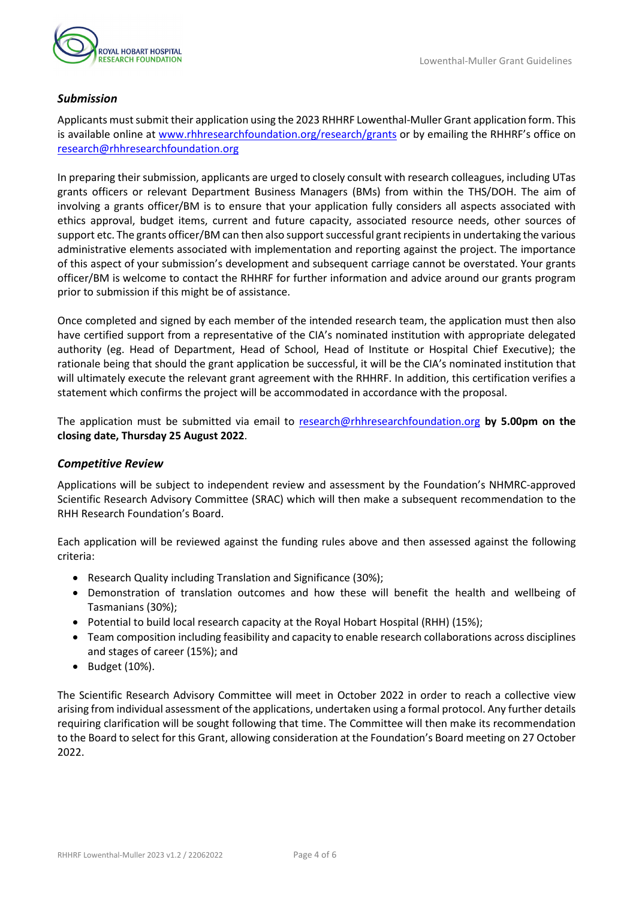

## *Submission*

Applicants mustsubmit their application using the 2023 RHHRF Lowenthal-Muller Grant application form. This is available online at [www.rhhresearchfoundation.org/research/grants](https://www.rhhresearchfoundation.org/research/grants) or by emailing the RHHRF's office on [research@rhhresearchfoundation.org](mailto:research@rhhresearchfoundation.org)

In preparing their submission, applicants are urged to closely consult with research colleagues, including UTas grants officers or relevant Department Business Managers (BMs) from within the THS/DOH. The aim of involving a grants officer/BM is to ensure that your application fully considers all aspects associated with ethics approval, budget items, current and future capacity, associated resource needs, other sources of support etc. The grants officer/BM can then also support successful grant recipients in undertaking the various administrative elements associated with implementation and reporting against the project. The importance of this aspect of your submission's development and subsequent carriage cannot be overstated. Your grants officer/BM is welcome to contact the RHHRF for further information and advice around our grants program prior to submission if this might be of assistance.

Once completed and signed by each member of the intended research team, the application must then also have certified support from a representative of the CIA's nominated institution with appropriate delegated authority (eg. Head of Department, Head of School, Head of Institute or Hospital Chief Executive); the rationale being that should the grant application be successful, it will be the CIA's nominated institution that will ultimately execute the relevant grant agreement with the RHHRF. In addition, this certification verifies a statement which confirms the project will be accommodated in accordance with the proposal.

The application must be submitted via email to [research@rhhresearchfoundation.org](mailto:research@rhhresearchfoundation.org) **by 5.00pm on the closing date, Thursday 25 August 2022**.

#### *Competitive Review*

Applications will be subject to independent review and assessment by the Foundation's NHMRC-approved Scientific Research Advisory Committee (SRAC) which will then make a subsequent recommendation to the RHH Research Foundation's Board.

Each application will be reviewed against the funding rules above and then assessed against the following criteria:

- Research Quality including Translation and Significance (30%);
- Demonstration of translation outcomes and how these will benefit the health and wellbeing of Tasmanians (30%);
- Potential to build local research capacity at the Royal Hobart Hospital (RHH) (15%);
- Team composition including feasibility and capacity to enable research collaborations across disciplines and stages of career (15%); and
- Budget (10%).

The Scientific Research Advisory Committee will meet in October 2022 in order to reach a collective view arising from individual assessment of the applications, undertaken using a formal protocol. Any further details requiring clarification will be sought following that time. The Committee will then make its recommendation to the Board to select for this Grant, allowing consideration at the Foundation's Board meeting on 27 October 2022.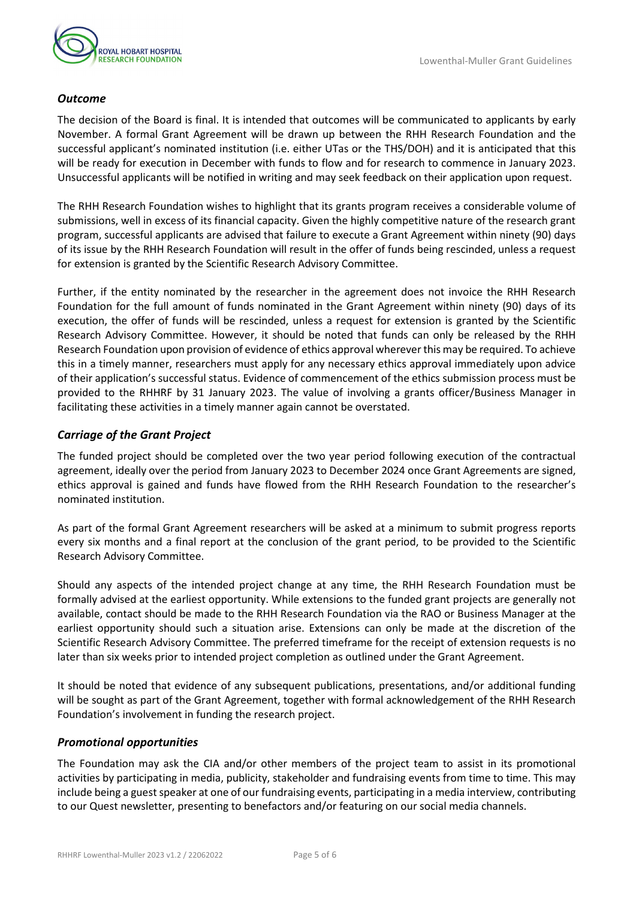#### *Outcome*

The decision of the Board is final. It is intended that outcomes will be communicated to applicants by early November. A formal Grant Agreement will be drawn up between the RHH Research Foundation and the successful applicant's nominated institution (i.e. either UTas or the THS/DOH) and it is anticipated that this will be ready for execution in December with funds to flow and for research to commence in January 2023. Unsuccessful applicants will be notified in writing and may seek feedback on their application upon request.

The RHH Research Foundation wishes to highlight that its grants program receives a considerable volume of submissions, well in excess of its financial capacity. Given the highly competitive nature of the research grant program, successful applicants are advised that failure to execute a Grant Agreement within ninety (90) days of its issue by the RHH Research Foundation will result in the offer of funds being rescinded, unless a request for extension is granted by the Scientific Research Advisory Committee.

Further, if the entity nominated by the researcher in the agreement does not invoice the RHH Research Foundation for the full amount of funds nominated in the Grant Agreement within ninety (90) days of its execution, the offer of funds will be rescinded, unless a request for extension is granted by the Scientific Research Advisory Committee. However, it should be noted that funds can only be released by the RHH Research Foundation upon provision of evidence of ethics approval wherever this may be required. To achieve this in a timely manner, researchers must apply for any necessary ethics approval immediately upon advice of their application's successful status. Evidence of commencement of the ethics submission process must be provided to the RHHRF by 31 January 2023. The value of involving a grants officer/Business Manager in facilitating these activities in a timely manner again cannot be overstated.

### *Carriage of the Grant Project*

The funded project should be completed over the two year period following execution of the contractual agreement, ideally over the period from January 2023 to December 2024 once Grant Agreements are signed, ethics approval is gained and funds have flowed from the RHH Research Foundation to the researcher's nominated institution.

As part of the formal Grant Agreement researchers will be asked at a minimum to submit progress reports every six months and a final report at the conclusion of the grant period, to be provided to the Scientific Research Advisory Committee.

Should any aspects of the intended project change at any time, the RHH Research Foundation must be formally advised at the earliest opportunity. While extensions to the funded grant projects are generally not available, contact should be made to the RHH Research Foundation via the RAO or Business Manager at the earliest opportunity should such a situation arise. Extensions can only be made at the discretion of the Scientific Research Advisory Committee. The preferred timeframe for the receipt of extension requests is no later than six weeks prior to intended project completion as outlined under the Grant Agreement.

It should be noted that evidence of any subsequent publications, presentations, and/or additional funding will be sought as part of the Grant Agreement, together with formal acknowledgement of the RHH Research Foundation's involvement in funding the research project.

#### *Promotional opportunities*

The Foundation may ask the CIA and/or other members of the project team to assist in its promotional activities by participating in media, publicity, stakeholder and fundraising events from time to time. This may include being a guest speaker at one of our fundraising events, participating in a media interview, contributing to our Quest newsletter, presenting to benefactors and/or featuring on our social media channels.